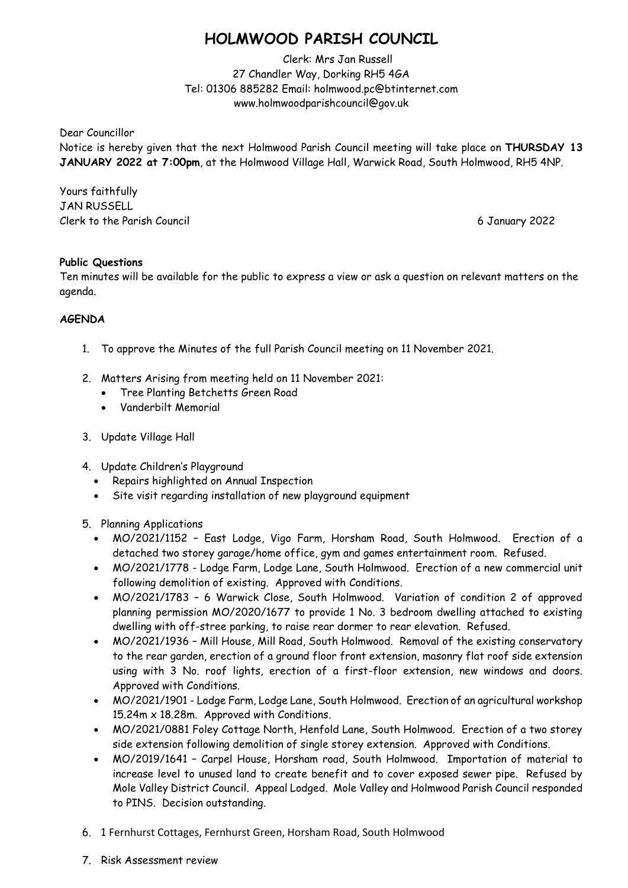## **HOLMWOOD PARISH COUNCIL**

Clerk: Mrs Jan Russell 27 Chandler Way, Dorking RH5 4GA Tel: 01306 885282 Email: holmwood.pc@btinternet.com www.holmwoodparishcouncil@gov.uk

Dear Councillor

Notice is hereby given that the next Holmwood Parish Council meeting will take place on **THURSDAY 13 JANUARY 2022 at 7:00pm**, at the Holmwood Village Hall, Warwick Road, South Holmwood, RH5 4NP.

Yours faithfully JAN RUSSELL Clerk to the Parish Council 6 January 2022

## **Public Questions**

Ten minutes will be available for the public to express a view or ask a question on relevant matters on the agenda.

## **AGENDA**

- 1. To approve the Minutes of the full Parish Council meeting on 11 November 2021.
- 2. Matters Arising from meeting held on 11 November 2021:
	- Tree Planting Betchetts Green Road
	- Vanderbilt Memorial
- 3. Update Village Hall
- 4. Update Children's Playground
	- Repairs highlighted on Annual Inspection
	- Site visit regarding installation of new playground equipment
- 5. Planning Applications
	- MO/2021/1152 East Lodge, Vigo Farm, Horsham Road, South Holmwood. Erection of a detached two storey garage/home office, gym and games entertainment room. Refused.
	- MO/2021/1778 Lodge Farm, Lodge Lane, South Holmwood. Erection of a new commercial unit following demolition of existing. Approved with Conditions.
	- MO/2021/1783 6 Warwick Close, South Holmwood. Variation of condition 2 of approved planning permission MO/2020/1677 to provide 1 No. 3 bedroom dwelling attached to existing dwelling with off-stree parking, to raise rear dormer to rear elevation. Refused.
	- MO/2021/1936 Mill House, Mill Road, South Holmwood. Removal of the existing conservatory to the rear garden, erection of a ground floor front extension, masonry flat roof side extension using with 3 No. roof lights, erection of a first-floor extension, new windows and doors. Approved with Conditions.
	- MO/2021/1901 Lodge Farm, Lodge Lane, South Holmwood. Erection of an agricultural workshop 15.24m x 18.28m. Approved with Conditions.
	- MO/2021/0881 Foley Cottage North, Henfold Lane, South Holmwood. Erection of a two storey side extension following demolition of single storey extension. Approved with Conditions.
	- MO/2019/1641 Carpel House, Horsham road, South Holmwood. Importation of material to increase level to unused land to create benefit and to cover exposed sewer pipe. Refused by Mole Valley District Council. Appeal Lodged. Mole Valley and Holmwood Parish Council responded to PINS. Decision outstanding.
- 6. 1 Fernhurst Cottages, Fernhurst Green, Horsham Road, South Holmwood
- 7. Risk Assessment review